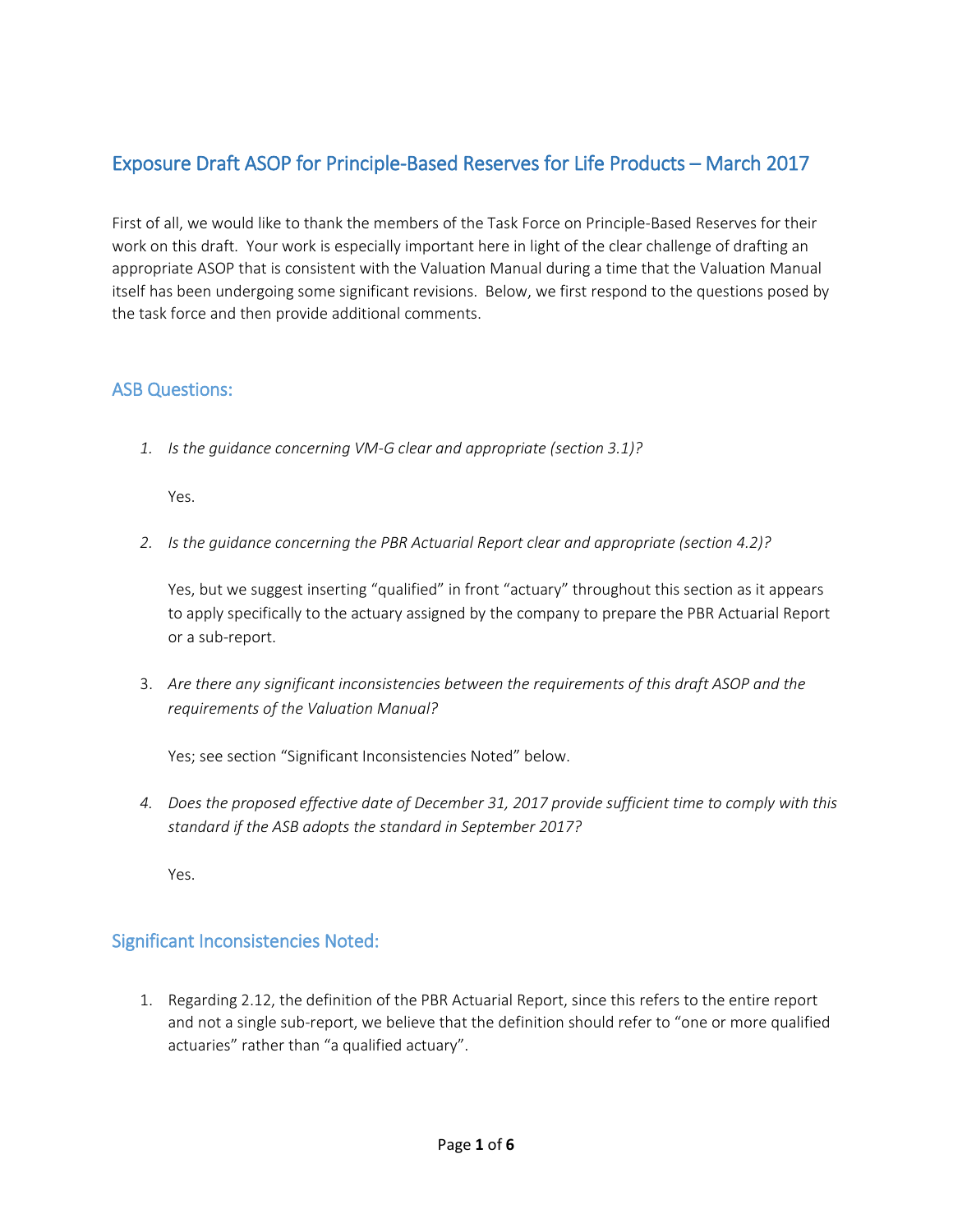# Exposure Draft ASOP for Principle-Based Reserves for Life Products – March 2017

First of all, we would like to thank the members of the Task Force on Principle-Based Reserves for their work on this draft. Your work is especially important here in light of the clear challenge of drafting an appropriate ASOP that is consistent with the Valuation Manual during a time that the Valuation Manual itself has been undergoing some significant revisions. Below, we first respond to the questions posed by the task force and then provide additional comments.

### ASB Questions:

*1. Is the guidance concerning VM-G clear and appropriate (section 3.1)?* 

Yes.

*2. Is the guidance concerning the PBR Actuarial Report clear and appropriate (section 4.2)?* 

Yes, but we suggest inserting "qualified" in front "actuary" throughout this section as it appears to apply specifically to the actuary assigned by the company to prepare the PBR Actuarial Report or a sub-report.

3. *Are there any significant inconsistencies between the requirements of this draft ASOP and the requirements of the Valuation Manual?*

Yes; see section "Significant Inconsistencies Noted" below.

*4. Does the proposed effective date of December 31, 2017 provide sufficient time to comply with this standard if the ASB adopts the standard in September 2017?* 

Yes.

### Significant Inconsistencies Noted:

1. Regarding 2.12, the definition of the PBR Actuarial Report, since this refers to the entire report and not a single sub-report, we believe that the definition should refer to "one or more qualified actuaries" rather than "a qualified actuary".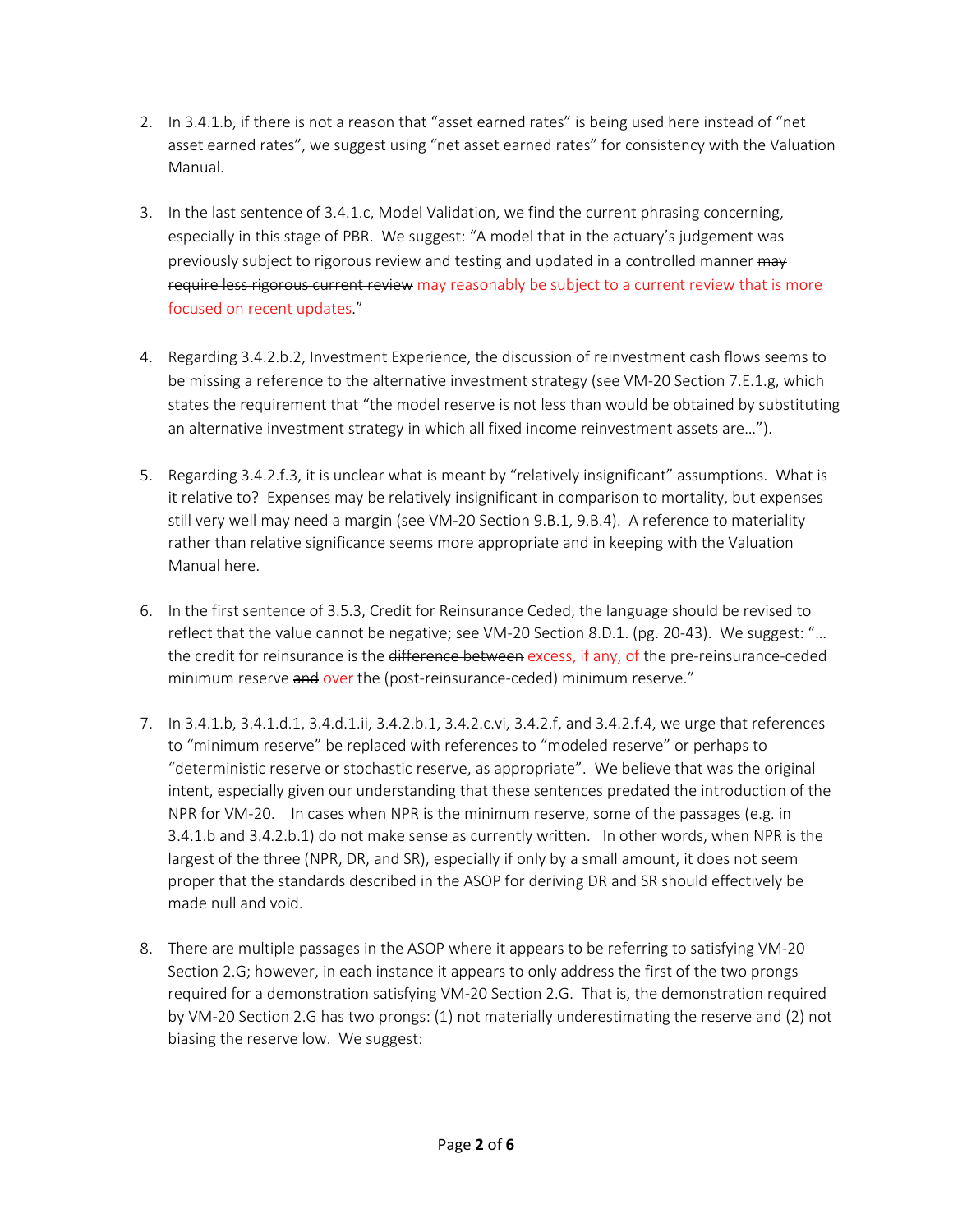- 2. In 3.4.1.b, if there is not a reason that "asset earned rates" is being used here instead of "net asset earned rates", we suggest using "net asset earned rates" for consistency with the Valuation Manual.
- 3. In the last sentence of 3.4.1.c, Model Validation, we find the current phrasing concerning, especially in this stage of PBR. We suggest: "A model that in the actuary's judgement was previously subject to rigorous review and testing and updated in a controlled manner may require less rigorous current review may reasonably be subject to a current review that is more focused on recent updates."
- 4. Regarding 3.4.2.b.2, Investment Experience, the discussion of reinvestment cash flows seems to be missing a reference to the alternative investment strategy (see VM-20 Section 7.E.1.g, which states the requirement that "the model reserve is not less than would be obtained by substituting an alternative investment strategy in which all fixed income reinvestment assets are…").
- 5. Regarding 3.4.2.f.3, it is unclear what is meant by "relatively insignificant" assumptions. What is it relative to? Expenses may be relatively insignificant in comparison to mortality, but expenses still very well may need a margin (see VM-20 Section 9.B.1, 9.B.4). A reference to materiality rather than relative significance seems more appropriate and in keeping with the Valuation Manual here.
- 6. In the first sentence of 3.5.3, Credit for Reinsurance Ceded, the language should be revised to reflect that the value cannot be negative; see VM-20 Section 8.D.1. (pg. 20-43). We suggest: "… the credit for reinsurance is the difference between excess, if any, of the pre-reinsurance-ceded minimum reserve and over the (post-reinsurance-ceded) minimum reserve."
- 7. In 3.4.1.b, 3.4.1.d.1, 3.4.d.1.ii, 3.4.2.b.1, 3.4.2.c.vi, 3.4.2.f, and 3.4.2.f.4, we urge that references to "minimum reserve" be replaced with references to "modeled reserve" or perhaps to "deterministic reserve or stochastic reserve, as appropriate". We believe that was the original intent, especially given our understanding that these sentences predated the introduction of the NPR for VM-20. In cases when NPR is the minimum reserve, some of the passages (e.g. in 3.4.1.b and 3.4.2.b.1) do not make sense as currently written. In other words, when NPR is the largest of the three (NPR, DR, and SR), especially if only by a small amount, it does not seem proper that the standards described in the ASOP for deriving DR and SR should effectively be made null and void.
- 8. There are multiple passages in the ASOP where it appears to be referring to satisfying VM-20 Section 2.G; however, in each instance it appears to only address the first of the two prongs required for a demonstration satisfying VM-20 Section 2.G. That is, the demonstration required by VM-20 Section 2.G has two prongs: (1) not materially underestimating the reserve and (2) not biasing the reserve low. We suggest: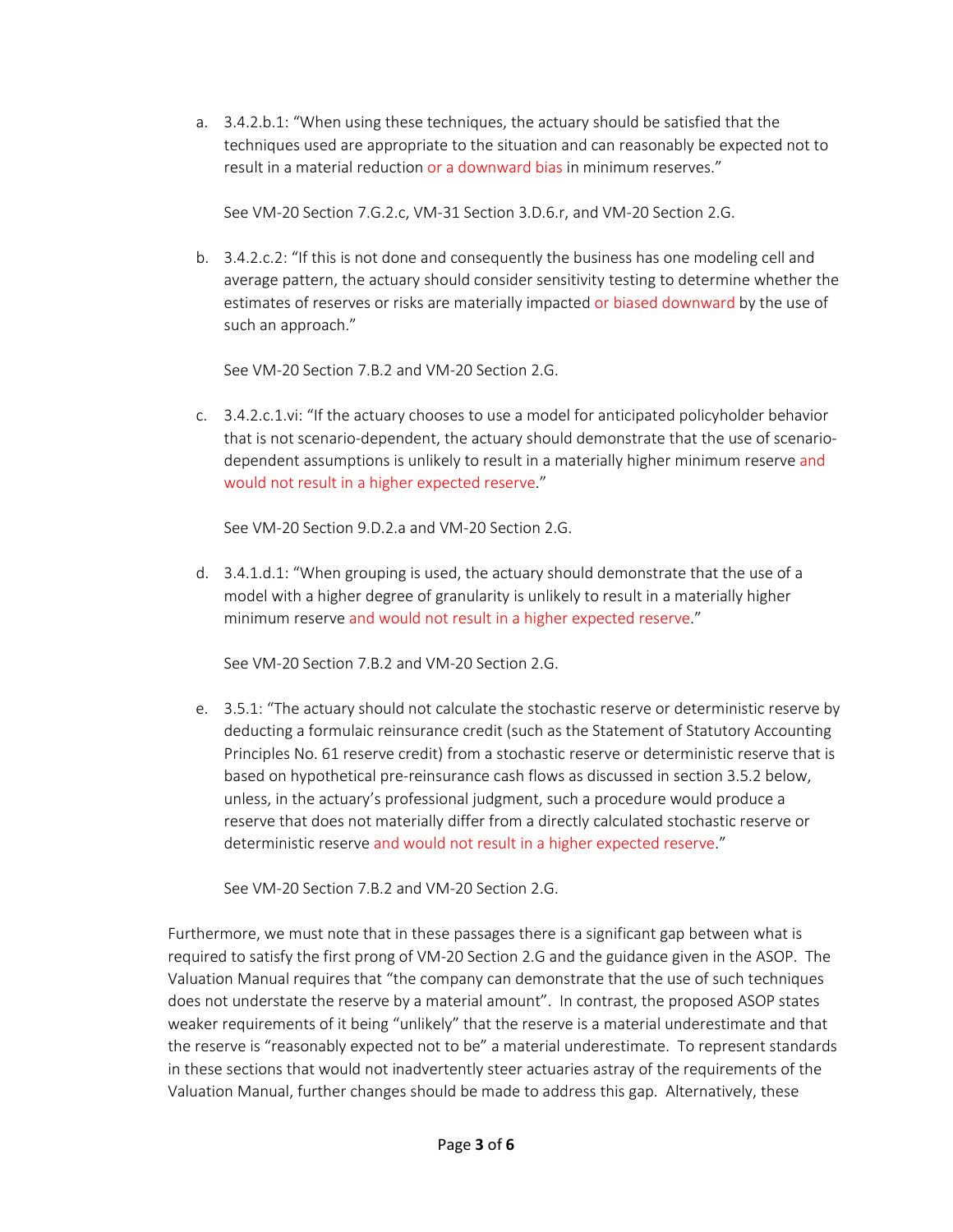a. 3.4.2.b.1: "When using these techniques, the actuary should be satisfied that the techniques used are appropriate to the situation and can reasonably be expected not to result in a material reduction or a downward bias in minimum reserves."

See VM-20 Section 7.G.2.c, VM-31 Section 3.D.6.r, and VM-20 Section 2.G.

b. 3.4.2.c.2: "If this is not done and consequently the business has one modeling cell and average pattern, the actuary should consider sensitivity testing to determine whether the estimates of reserves or risks are materially impacted or biased downward by the use of such an approach."

See VM-20 Section 7.B.2 and VM-20 Section 2.G.

c. 3.4.2.c.1.vi: "If the actuary chooses to use a model for anticipated policyholder behavior that is not scenario-dependent, the actuary should demonstrate that the use of scenariodependent assumptions is unlikely to result in a materially higher minimum reserve and would not result in a higher expected reserve."

See VM-20 Section 9.D.2.a and VM-20 Section 2.G.

d. 3.4.1.d.1: "When grouping is used, the actuary should demonstrate that the use of a model with a higher degree of granularity is unlikely to result in a materially higher minimum reserve and would not result in a higher expected reserve."

See VM-20 Section 7.B.2 and VM-20 Section 2.G.

e. 3.5.1: "The actuary should not calculate the stochastic reserve or deterministic reserve by deducting a formulaic reinsurance credit (such as the Statement of Statutory Accounting Principles No. 61 reserve credit) from a stochastic reserve or deterministic reserve that is based on hypothetical pre-reinsurance cash flows as discussed in section 3.5.2 below, unless, in the actuary's professional judgment, such a procedure would produce a reserve that does not materially differ from a directly calculated stochastic reserve or deterministic reserve and would not result in a higher expected reserve."

See VM-20 Section 7.B.2 and VM-20 Section 2.G.

Furthermore, we must note that in these passages there is a significant gap between what is required to satisfy the first prong of VM-20 Section 2.G and the guidance given in the ASOP. The Valuation Manual requires that "the company can demonstrate that the use of such techniques does not understate the reserve by a material amount". In contrast, the proposed ASOP states weaker requirements of it being "unlikely" that the reserve is a material underestimate and that the reserve is "reasonably expected not to be" a material underestimate. To represent standards in these sections that would not inadvertently steer actuaries astray of the requirements of the Valuation Manual, further changes should be made to address this gap. Alternatively, these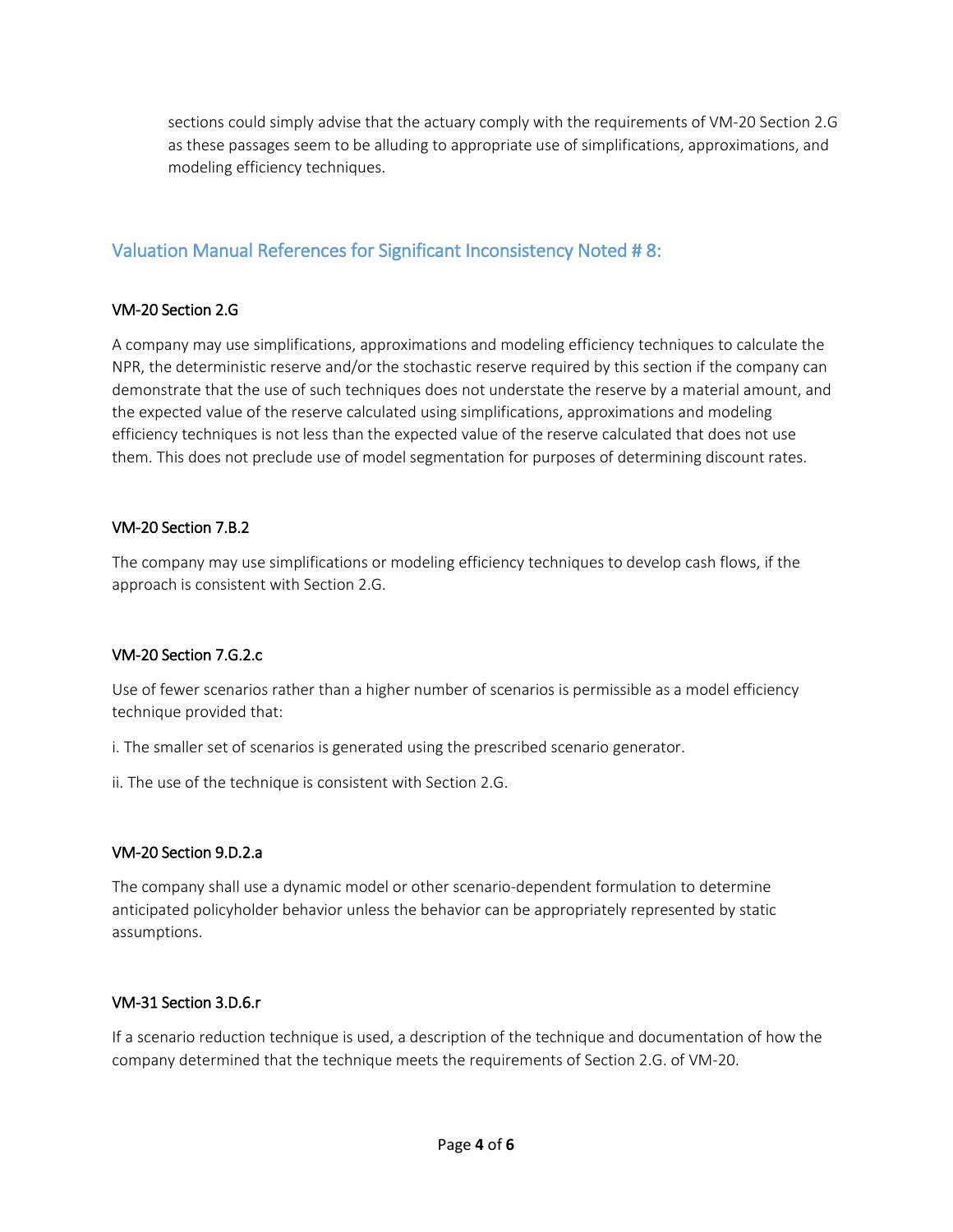sections could simply advise that the actuary comply with the requirements of VM-20 Section 2.G as these passages seem to be alluding to appropriate use of simplifications, approximations, and modeling efficiency techniques.

## Valuation Manual References for Significant Inconsistency Noted # 8:

#### VM-20 Section 2.G

A company may use simplifications, approximations and modeling efficiency techniques to calculate the NPR, the deterministic reserve and/or the stochastic reserve required by this section if the company can demonstrate that the use of such techniques does not understate the reserve by a material amount, and the expected value of the reserve calculated using simplifications, approximations and modeling efficiency techniques is not less than the expected value of the reserve calculated that does not use them. This does not preclude use of model segmentation for purposes of determining discount rates.

#### VM-20 Section 7.B.2

The company may use simplifications or modeling efficiency techniques to develop cash flows, if the approach is consistent with Section 2.G.

#### VM-20 Section 7.G.2.c

Use of fewer scenarios rather than a higher number of scenarios is permissible as a model efficiency technique provided that:

i. The smaller set of scenarios is generated using the prescribed scenario generator.

ii. The use of the technique is consistent with Section 2.G.

#### VM-20 Section 9.D.2.a

The company shall use a dynamic model or other scenario-dependent formulation to determine anticipated policyholder behavior unless the behavior can be appropriately represented by static assumptions.

#### VM-31 Section 3.D.6.r

If a scenario reduction technique is used, a description of the technique and documentation of how the company determined that the technique meets the requirements of Section 2.G. of VM-20.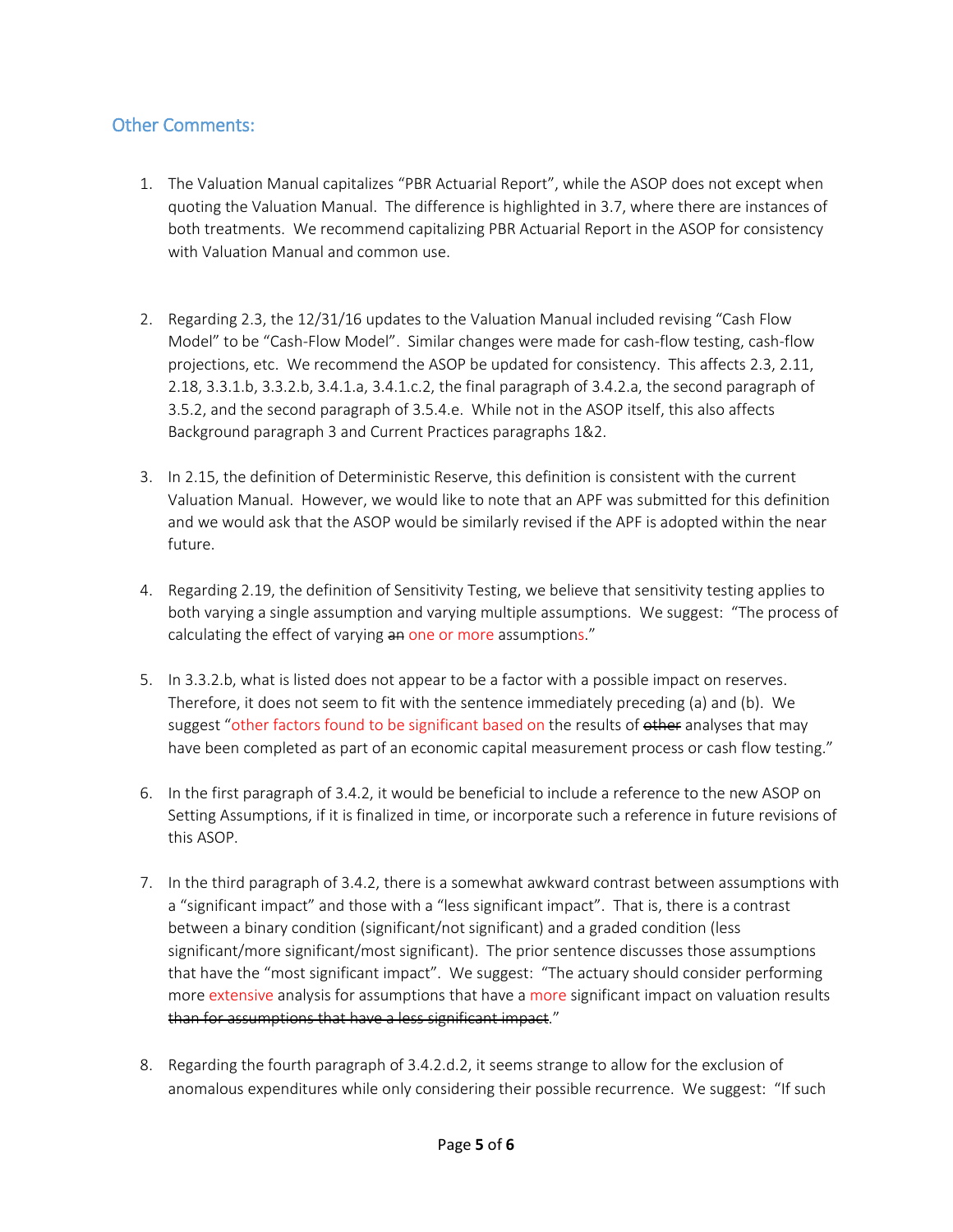### Other Comments:

- 1. The Valuation Manual capitalizes "PBR Actuarial Report", while the ASOP does not except when quoting the Valuation Manual. The difference is highlighted in 3.7, where there are instances of both treatments. We recommend capitalizing PBR Actuarial Report in the ASOP for consistency with Valuation Manual and common use.
- 2. Regarding 2.3, the 12/31/16 updates to the Valuation Manual included revising "Cash Flow Model" to be "Cash-Flow Model". Similar changes were made for cash-flow testing, cash-flow projections, etc. We recommend the ASOP be updated for consistency. This affects 2.3, 2.11, 2.18, 3.3.1.b, 3.3.2.b, 3.4.1.a, 3.4.1.c.2, the final paragraph of 3.4.2.a, the second paragraph of 3.5.2, and the second paragraph of 3.5.4.e. While not in the ASOP itself, this also affects Background paragraph 3 and Current Practices paragraphs 1&2.
- 3. In 2.15, the definition of Deterministic Reserve, this definition is consistent with the current Valuation Manual. However, we would like to note that an APF was submitted for this definition and we would ask that the ASOP would be similarly revised if the APF is adopted within the near future.
- 4. Regarding 2.19, the definition of Sensitivity Testing, we believe that sensitivity testing applies to both varying a single assumption and varying multiple assumptions. We suggest: "The process of calculating the effect of varying an one or more assumptions."
- 5. In 3.3.2.b, what is listed does not appear to be a factor with a possible impact on reserves. Therefore, it does not seem to fit with the sentence immediately preceding (a) and (b). We suggest "other factors found to be significant based on the results of other analyses that may have been completed as part of an economic capital measurement process or cash flow testing."
- 6. In the first paragraph of 3.4.2, it would be beneficial to include a reference to the new ASOP on Setting Assumptions, if it is finalized in time, or incorporate such a reference in future revisions of this ASOP.
- 7. In the third paragraph of 3.4.2, there is a somewhat awkward contrast between assumptions with a "significant impact" and those with a "less significant impact". That is, there is a contrast between a binary condition (significant/not significant) and a graded condition (less significant/more significant/most significant). The prior sentence discusses those assumptions that have the "most significant impact". We suggest: "The actuary should consider performing more extensive analysis for assumptions that have a more significant impact on valuation results than for assumptions that have a less significant impact."
- 8. Regarding the fourth paragraph of 3.4.2.d.2, it seems strange to allow for the exclusion of anomalous expenditures while only considering their possible recurrence. We suggest: "If such